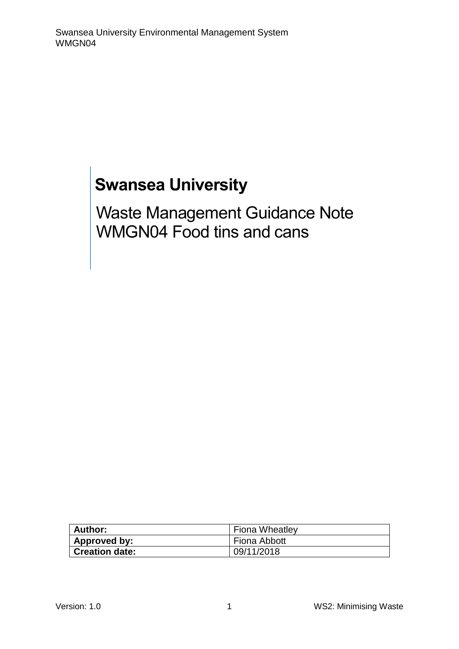# **Swansea University**

Waste Management Guidance Note WMGN04 Food tins and cans

| Author:               | <b>Fiona Wheatley</b> |
|-----------------------|-----------------------|
| Approved by:          | Fiona Abbott          |
| <b>Creation date:</b> | 09/11/2018            |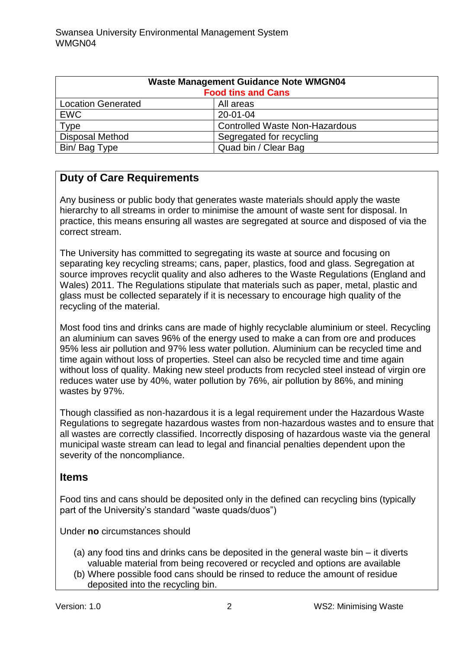| <b>Waste Management Guidance Note WMGN04</b><br><b>Food tins and Cans</b> |                                       |
|---------------------------------------------------------------------------|---------------------------------------|
| <b>Location Generated</b>                                                 | All areas                             |
| <b>EWC</b>                                                                | 20-01-04                              |
| <b>Type</b>                                                               | <b>Controlled Waste Non-Hazardous</b> |
| <b>Disposal Method</b>                                                    | Segregated for recycling              |
| Bin/Bag Type                                                              | Quad bin / Clear Bag                  |

## **Duty of Care Requirements**

Any business or public body that generates waste materials should apply the waste hierarchy to all streams in order to minimise the amount of waste sent for disposal. In practice, this means ensuring all wastes are segregated at source and disposed of via the correct stream.

The University has committed to segregating its waste at source and focusing on separating key recycling streams; cans, paper, plastics, food and glass. Segregation at source improves recyclit quality and also adheres to the Waste Regulations (England and Wales) 2011. The Regulations stipulate that materials such as paper, metal, plastic and glass must be collected separately if it is necessary to encourage high quality of the recycling of the material.

Most food tins and drinks cans are made of highly recyclable aluminium or steel. Recycling an aluminium can saves 96% of the energy used to make a can from ore and produces 95% less air pollution and 97% less water pollution. Aluminium can be recycled time and time again without loss of properties. Steel can also be recycled time and time again without loss of quality. Making new steel products from recycled steel instead of virgin ore reduces water use by 40%, water pollution by 76%, air pollution by 86%, and mining wastes by 97%.

Though classified as non-hazardous it is a legal requirement under the Hazardous Waste Regulations to segregate hazardous wastes from non-hazardous wastes and to ensure that all wastes are correctly classified. Incorrectly disposing of hazardous waste via the general municipal waste stream can lead to legal and financial penalties dependent upon the severity of the noncompliance.

#### **Items**

Food tins and cans should be deposited only in the defined can recycling bins (typically part of the University's standard "waste quads/duos")

Under **no** circumstances should

- (a) any food tins and drinks cans be deposited in the general waste bin it diverts valuable material from being recovered or recycled and options are available
- (b) Where possible food cans should be rinsed to reduce the amount of residue deposited into the recycling bin.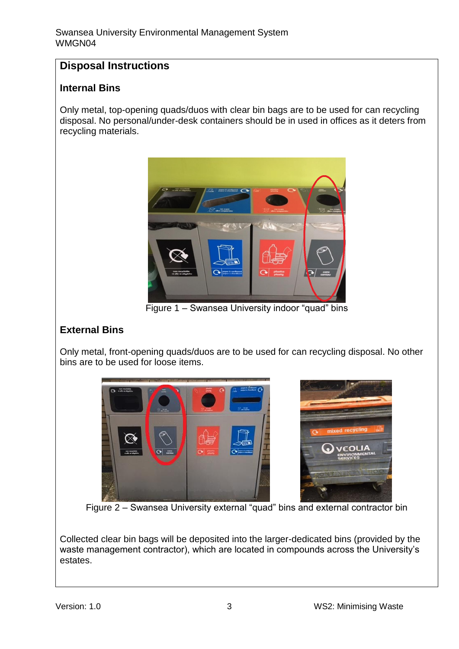## **Disposal Instructions**

#### **Internal Bins**

Only metal, top-opening quads/duos with clear bin bags are to be used for can recycling disposal. No personal/under-desk containers should be in used in offices as it deters from recycling materials.



Figure 1 – Swansea University indoor "quad" bins

### **External Bins**

Only metal, front-opening quads/duos are to be used for can recycling disposal. No other bins are to be used for loose items.



Figure 2 – Swansea University external "quad" bins and external contractor bin

Collected clear bin bags will be deposited into the larger-dedicated bins (provided by the waste management contractor), which are located in compounds across the University's estates.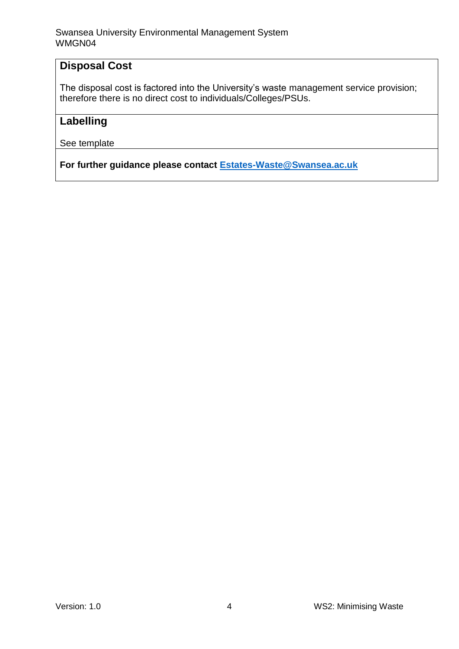## **Disposal Cost**

The disposal cost is factored into the University's waste management service provision; therefore there is no direct cost to individuals/Colleges/PSUs.

## **Labelling**

See template

**For further guidance please contact [Estates-Waste@Swansea.ac.uk](mailto:Estates-Waste@Swansea.ac.uk)**